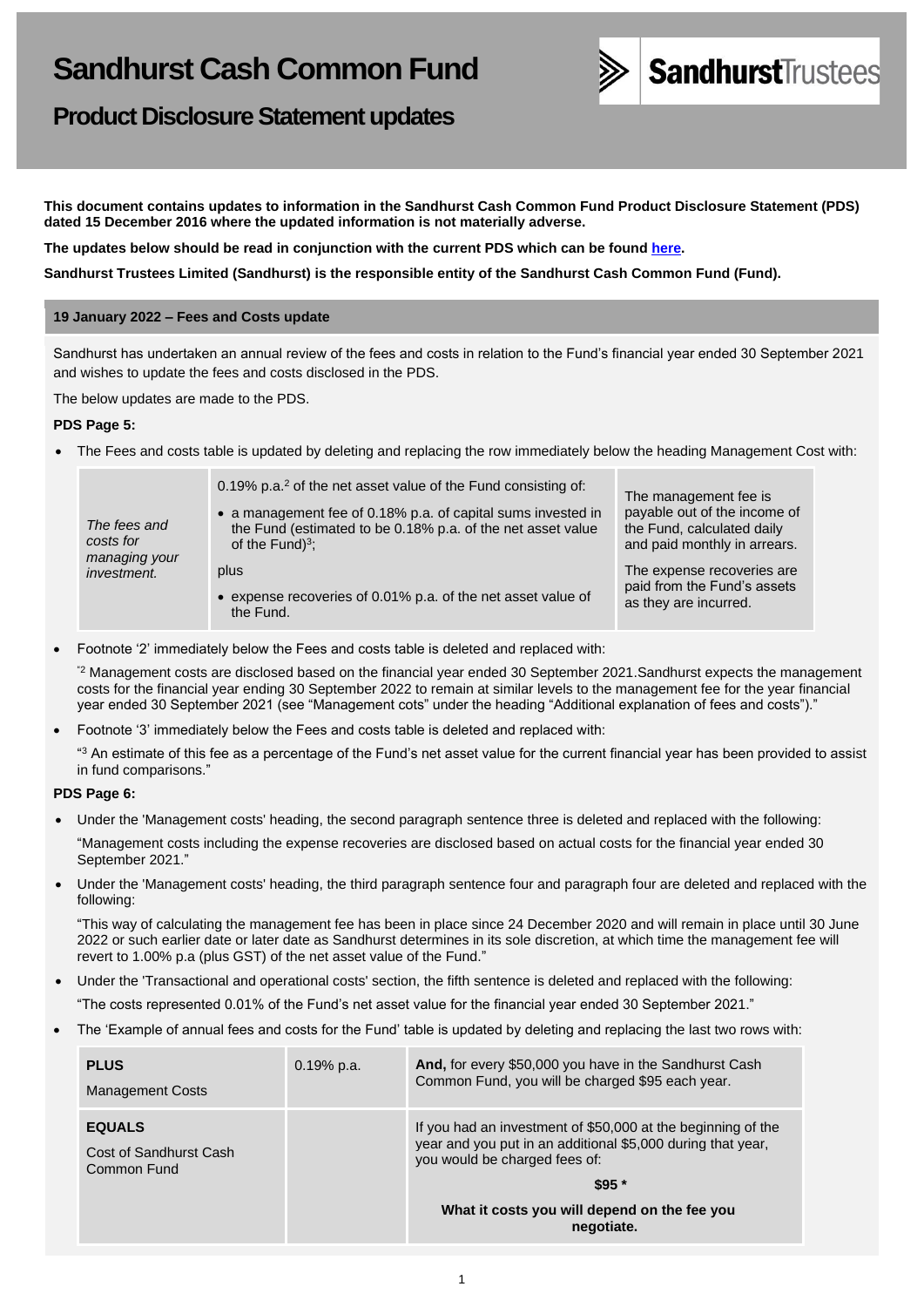

**Product Disclosure Statement updates**

**This document contains updates to information in the Sandhurst Cash Common Fund Product Disclosure Statement (PDS) dated 15 December 2016 where the updated information is not materially adverse.**

**The updates below should be read in conjunction with the current PDS which can be found [here.](https://www.bendigobank.com.au/personal/investing/managed-funds/forms/)**

**Sandhurst Trustees Limited (Sandhurst) is the responsible entity of the Sandhurst Cash Common Fund (Fund).**

# **19 January 2022 – Fees and Costs update**

Sandhurst has undertaken an annual review of the fees and costs in relation to the Fund's financial year ended 30 September 2021 and wishes to update the fees and costs disclosed in the PDS.

The below updates are made to the PDS.

### **PDS Page 5:**

• The Fees and costs table is updated by deleting and replacing the row immediately below the heading Management Cost with:

| The fees and<br>costs for           | 0.19% p.a. <sup>2</sup> of the net asset value of the Fund consisting of:<br>• a management fee of 0.18% p.a. of capital sums invested in<br>the Fund (estimated to be 0.18% p.a. of the net asset value<br>of the Fund $)^3$ ; | The management fee is<br>payable out of the income of<br>the Fund, calculated daily<br>and paid monthly in arrears. |
|-------------------------------------|---------------------------------------------------------------------------------------------------------------------------------------------------------------------------------------------------------------------------------|---------------------------------------------------------------------------------------------------------------------|
| managing your<br><i>investment.</i> | plus<br>• expense recoveries of 0.01% p.a. of the net asset value of<br>the Fund.                                                                                                                                               | The expense recoveries are<br>paid from the Fund's assets<br>as they are incurred.                                  |

• Footnote '2' immediately below the Fees and costs table is deleted and replaced with:

"2 Management costs are disclosed based on the financial year ended 30 September 2021.Sandhurst expects the management costs for the financial year ending 30 September 2022 to remain at similar levels to the management fee for the year financial year ended 30 September 2021 (see "Management cots" under the heading "Additional explanation of fees and costs")."

• Footnote '3' immediately below the Fees and costs table is deleted and replaced with:

 $43$  An estimate of this fee as a percentage of the Fund's net asset value for the current financial year has been provided to assist in fund comparisons."

# **PDS Page 6:**

• Under the 'Management costs' heading, the second paragraph sentence three is deleted and replaced with the following:

"Management costs including the expense recoveries are disclosed based on actual costs for the financial year ended 30 September 2021."

• Under the 'Management costs' heading, the third paragraph sentence four and paragraph four are deleted and replaced with the following:

"This way of calculating the management fee has been in place since 24 December 2020 and will remain in place until 30 June 2022 or such earlier date or later date as Sandhurst determines in its sole discretion, at which time the management fee will revert to 1.00% p.a (plus GST) of the net asset value of the Fund."

- Under the 'Transactional and operational costs' section, the fifth sentence is deleted and replaced with the following:
	- "The costs represented 0.01% of the Fund's net asset value for the financial year ended 30 September 2021."
- The 'Example of annual fees and costs for the Fund' table is updated by deleting and replacing the last two rows with:

| <b>PLUS</b><br><b>Management Costs</b>                 | $0.19%$ p.a. | And, for every \$50,000 you have in the Sandhurst Cash<br>Common Fund, you will be charged \$95 each year.                                                   |
|--------------------------------------------------------|--------------|--------------------------------------------------------------------------------------------------------------------------------------------------------------|
| <b>EQUALS</b><br>Cost of Sandhurst Cash<br>Common Fund |              | If you had an investment of \$50,000 at the beginning of the<br>year and you put in an additional \$5,000 during that year,<br>you would be charged fees of: |
|                                                        |              | $$95*$                                                                                                                                                       |
|                                                        |              | What it costs you will depend on the fee you<br>negotiate.                                                                                                   |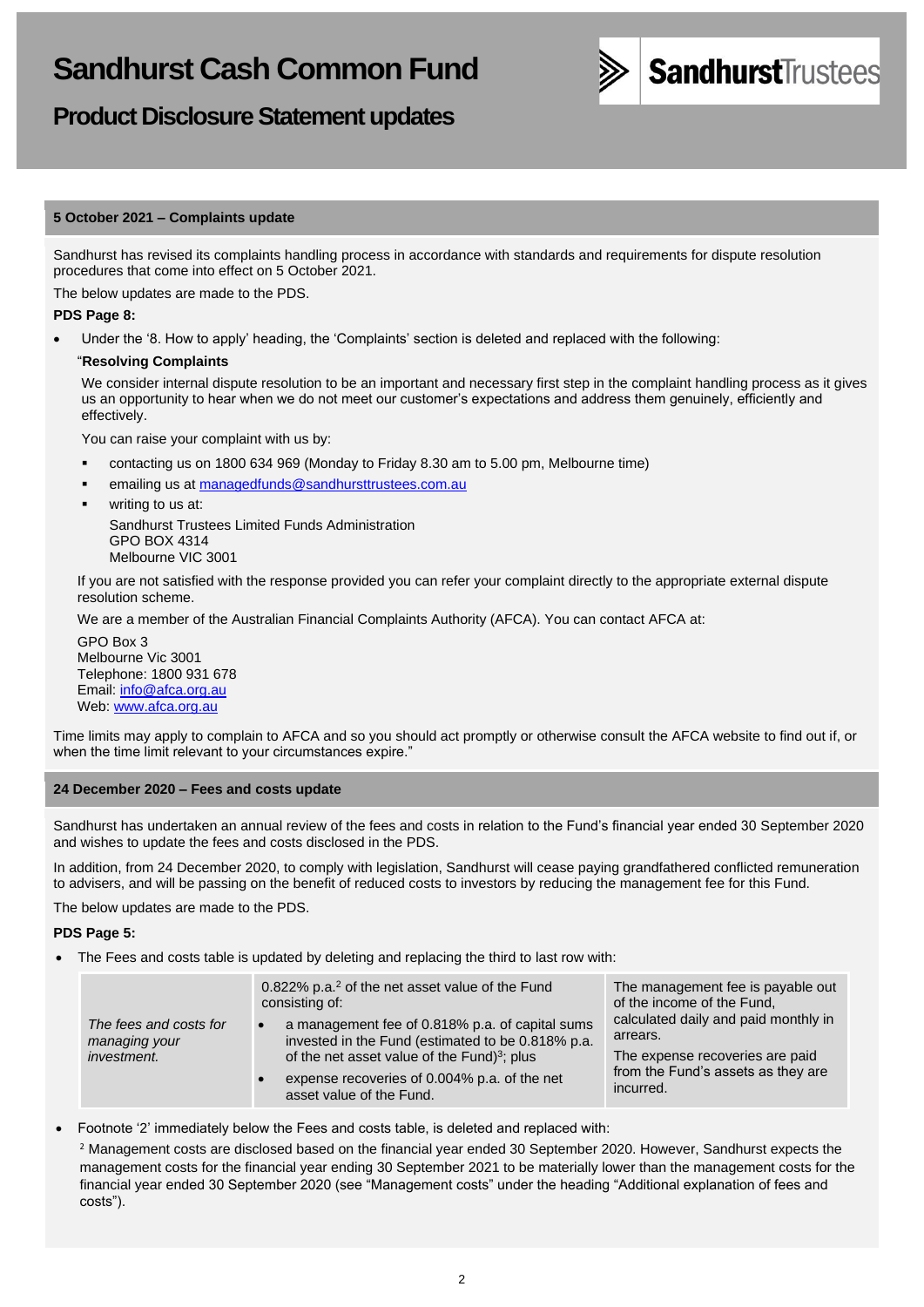

# **Product Disclosure Statement updates**

### **5 October 2021 – Complaints update**

Sandhurst has revised its complaints handling process in accordance with standards and requirements for dispute resolution procedures that come into effect on 5 October 2021.

The below updates are made to the PDS.

#### **PDS Page 8:**

• Under the '8. How to apply' heading, the 'Complaints' section is deleted and replaced with the following:

#### "**Resolving Complaints**

We consider internal dispute resolution to be an important and necessary first step in the complaint handling process as it gives us an opportunity to hear when we do not meet our customer's expectations and address them genuinely, efficiently and effectively.

You can raise your complaint with us by:

- contacting us on 1800 634 969 (Monday to Friday 8.30 am to 5.00 pm, Melbourne time)
- emailing us at [managedfunds@sandhursttrustees.com.au](mailto:managedfunds@sandhursttrustees.com.au)
	- writing to us at: Sandhurst Trustees Limited Funds Administration GPO BOX 4314 Melbourne VIC 3001

If you are not satisfied with the response provided you can refer your complaint directly to the appropriate external dispute resolution scheme.

We are a member of the Australian Financial Complaints Authority (AFCA). You can contact AFCA at:

GPO Box 3 Melbourne Vic 3001 Telephone: 1800 931 678 Email: [info@afca.org.au](mailto:info@afca.org.au) Web: [www.afca.org.au](https://www.afca.org.au/)

Time limits may apply to complain to AFCA and so you should act promptly or otherwise consult the AFCA website to find out if, or when the time limit relevant to your circumstances expire."

#### **24 December 2020 – Fees and costs update**

Sandhurst has undertaken an annual review of the fees and costs in relation to the Fund's financial year ended 30 September 2020 and wishes to update the fees and costs disclosed in the PDS.

In addition, from 24 December 2020, to comply with legislation, Sandhurst will cease paying grandfathered conflicted remuneration to advisers, and will be passing on the benefit of reduced costs to investors by reducing the management fee for this Fund.

The below updates are made to the PDS.

#### **PDS Page 5:**

• The Fees and costs table is updated by deleting and replacing the third to last row with:

| The fees and costs for<br>managing your<br><i>investment.</i> | 0.822% p.a. <sup>2</sup> of the net asset value of the Fund<br>consisting of:<br>a management fee of 0.818% p.a. of capital sums<br>invested in the Fund (estimated to be 0.818% p.a.<br>of the net asset value of the Fund $3$ ; plus<br>expense recoveries of 0.004% p.a. of the net<br>asset value of the Fund. | The management fee is payable out<br>of the income of the Fund,<br>calculated daily and paid monthly in<br>arrears.<br>The expense recoveries are paid<br>from the Fund's assets as they are<br>incurred. |
|---------------------------------------------------------------|--------------------------------------------------------------------------------------------------------------------------------------------------------------------------------------------------------------------------------------------------------------------------------------------------------------------|-----------------------------------------------------------------------------------------------------------------------------------------------------------------------------------------------------------|
|---------------------------------------------------------------|--------------------------------------------------------------------------------------------------------------------------------------------------------------------------------------------------------------------------------------------------------------------------------------------------------------------|-----------------------------------------------------------------------------------------------------------------------------------------------------------------------------------------------------------|

• Footnote '2' immediately below the Fees and costs table, is deleted and replaced with:

<sup>2</sup> Management costs are disclosed based on the financial year ended 30 September 2020. However, Sandhurst expects the management costs for the financial year ending 30 September 2021 to be materially lower than the management costs for the financial year ended 30 September 2020 (see "Management costs" under the heading "Additional explanation of fees and costs").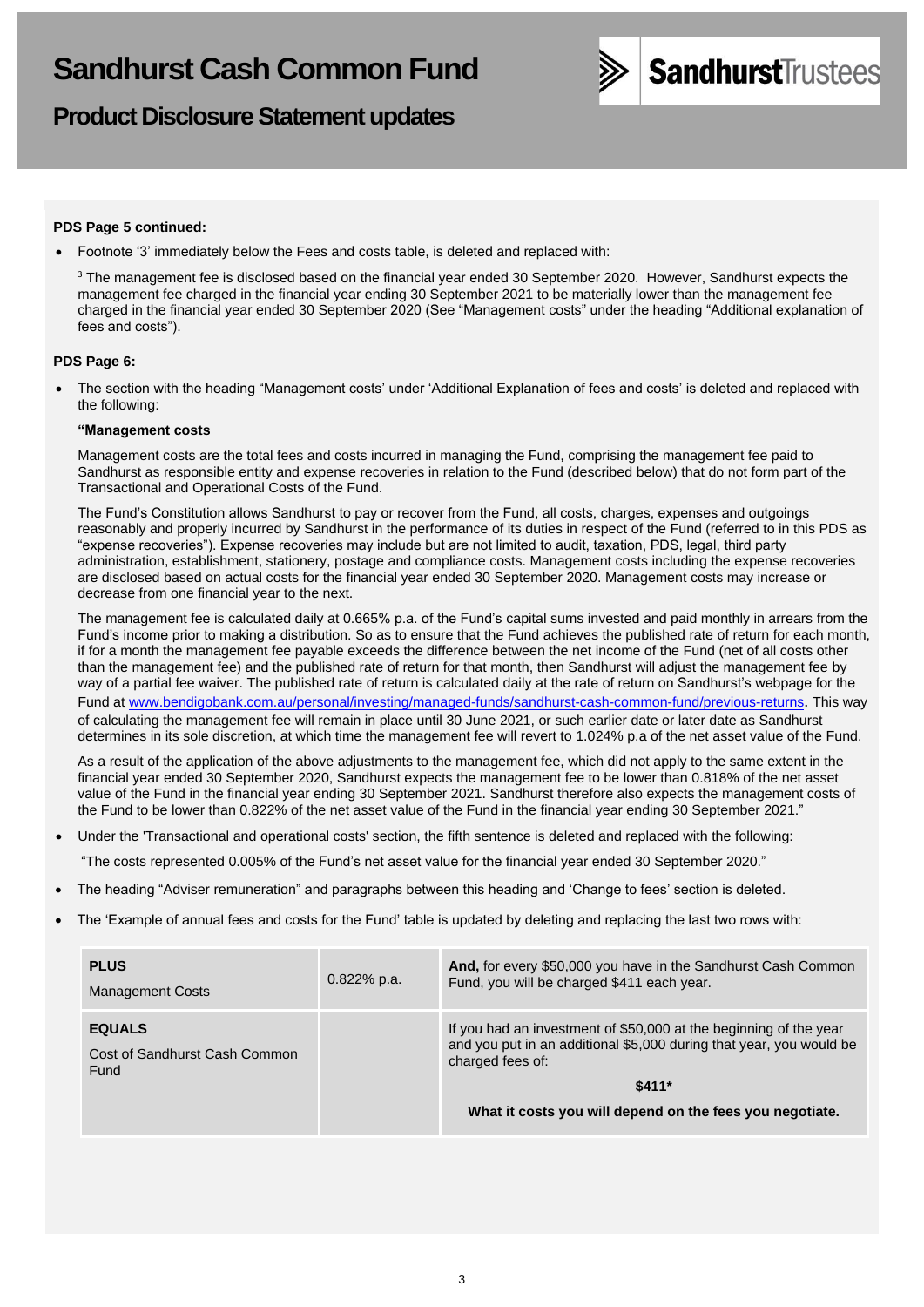

# **Product Disclosure Statement updates**

### **PDS Page 5 continued:**

• Footnote '3' immediately below the Fees and costs table, is deleted and replaced with:

<sup>3</sup> The management fee is disclosed based on the financial year ended 30 September 2020. However, Sandhurst expects the management fee charged in the financial year ending 30 September 2021 to be materially lower than the management fee charged in the financial year ended 30 September 2020 (See "Management costs" under the heading "Additional explanation of fees and costs").

#### **PDS Page 6:**

• The section with the heading "Management costs' under 'Additional Explanation of fees and costs' is deleted and replaced with the following:

#### **"Management costs**

Management costs are the total fees and costs incurred in managing the Fund, comprising the management fee paid to Sandhurst as responsible entity and expense recoveries in relation to the Fund (described below) that do not form part of the Transactional and Operational Costs of the Fund.

The Fund's Constitution allows Sandhurst to pay or recover from the Fund, all costs, charges, expenses and outgoings reasonably and properly incurred by Sandhurst in the performance of its duties in respect of the Fund (referred to in this PDS as "expense recoveries"). Expense recoveries may include but are not limited to audit, taxation, PDS, legal, third party administration, establishment, stationery, postage and compliance costs. Management costs including the expense recoveries are disclosed based on actual costs for the financial year ended 30 September 2020. Management costs may increase or decrease from one financial year to the next.

The management fee is calculated daily at 0.665% p.a. of the Fund's capital sums invested and paid monthly in arrears from the Fund's income prior to making a distribution. So as to ensure that the Fund achieves the published rate of return for each month, if for a month the management fee payable exceeds the difference between the net income of the Fund (net of all costs other than the management fee) and the published rate of return for that month, then Sandhurst will adjust the management fee by way of a partial fee waiver. The published rate of return is calculated daily at the rate of return on Sandhurst's webpage for the Fund at [www.bendigobank.com.au/personal/investing/managed-funds/sandhurst-cash-common-fund/previous-returns](https://www.bendigobank.com.au/personal/investing/managed-funds/sandhurst-cash-common-fund/previous-returns). This way of calculating the management fee will remain in place until 30 June 2021, or such earlier date or later date as Sandhurst determines in its sole discretion, at which time the management fee will revert to 1.024% p.a of the net asset value of the Fund.

As a result of the application of the above adjustments to the management fee, which did not apply to the same extent in the financial year ended 30 September 2020, Sandhurst expects the management fee to be lower than 0.818% of the net asset value of the Fund in the financial year ending 30 September 2021. Sandhurst therefore also expects the management costs of the Fund to be lower than 0.822% of the net asset value of the Fund in the financial year ending 30 September 2021."

• Under the 'Transactional and operational costs' section, the fifth sentence is deleted and replaced with the following:

"The costs represented 0.005% of the Fund's net asset value for the financial year ended 30 September 2020."

• The heading "Adviser remuneration" and paragraphs between this heading and 'Change to fees' section is deleted.

• The 'Example of annual fees and costs for the Fund' table is updated by deleting and replacing the last two rows with:

| <b>PLUS</b><br>Management Costs                        | $0.822%$ p.a. | And, for every \$50,000 you have in the Sandhurst Cash Common<br>Fund, you will be charged \$411 each year.                                                  |
|--------------------------------------------------------|---------------|--------------------------------------------------------------------------------------------------------------------------------------------------------------|
| <b>EQUALS</b><br>Cost of Sandhurst Cash Common<br>Fund |               | If you had an investment of \$50,000 at the beginning of the year<br>and you put in an additional \$5,000 during that year, you would be<br>charged fees of: |
|                                                        |               | $$411*$                                                                                                                                                      |
|                                                        |               | What it costs you will depend on the fees you negotiate.                                                                                                     |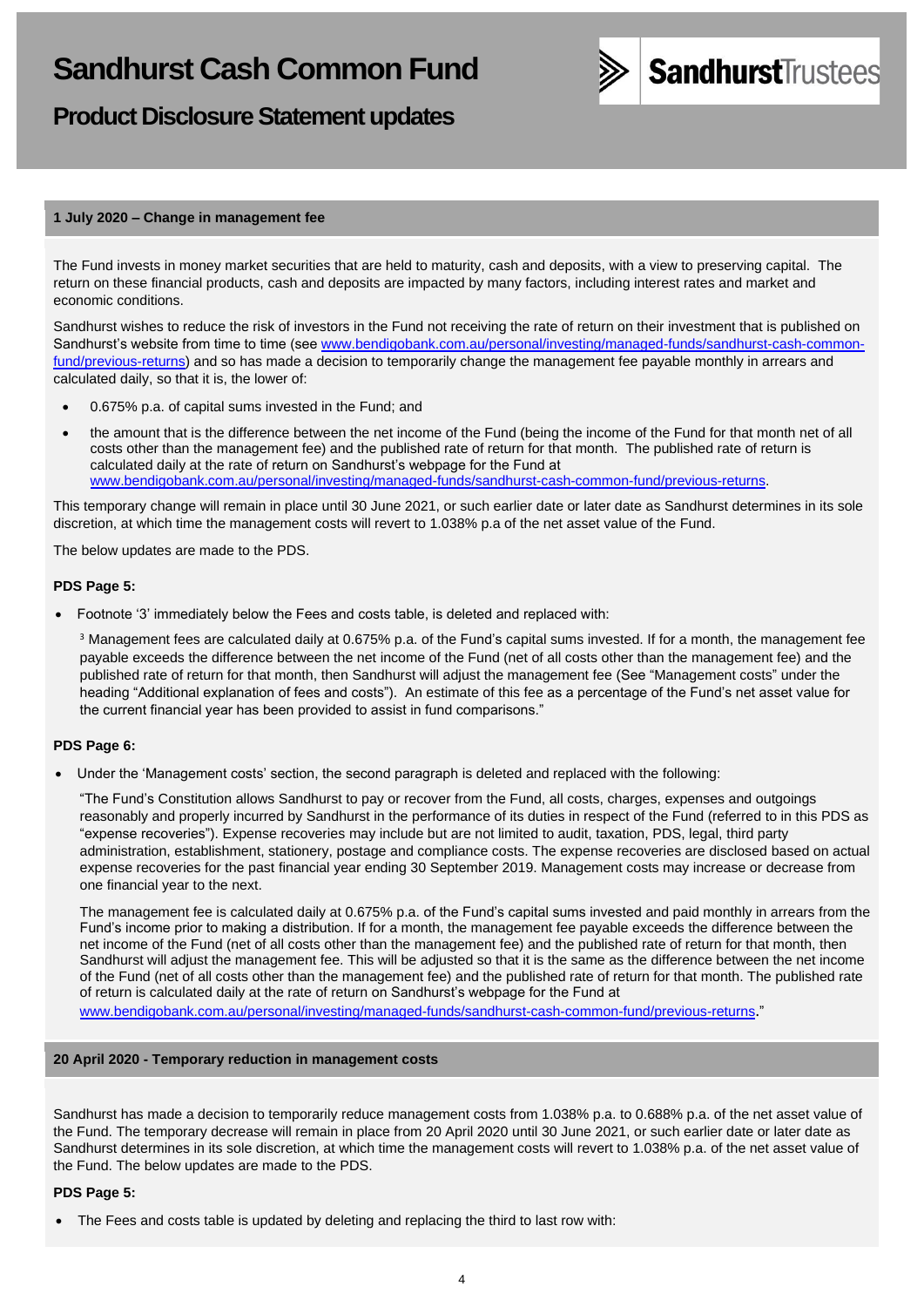

# **Product Disclosure Statement updates**

### **1 July 2020 – Change in management fee**

The Fund invests in money market securities that are held to maturity, cash and deposits, with a view to preserving capital. The return on these financial products, cash and deposits are impacted by many factors, including interest rates and market and economic conditions.

Sandhurst wishes to reduce the risk of investors in the Fund not receiving the rate of return on their investment that is published on Sandhurst's website from time to time (see [www.bendigobank.com.au/personal/investing/managed-funds/sandhurst-cash-common](https://www.bendigobank.com.au/personal/investing/managed-funds/sandhurst-cash-common-fund/previous-returns)[fund/previous-returns\)](https://www.bendigobank.com.au/personal/investing/managed-funds/sandhurst-cash-common-fund/previous-returns) and so has made a decision to temporarily change the management fee payable monthly in arrears and calculated daily, so that it is, the lower of:

- 0.675% p.a. of capital sums invested in the Fund; and
- the amount that is the difference between the net income of the Fund (being the income of the Fund for that month net of all costs other than the management fee) and the published rate of return for that month. The published rate of return is calculated daily at the rate of return on Sandhurst's webpage for the Fund at [www.bendigobank.com.au/personal/investing/managed-funds/sandhurst-cash-common-fund/previous-returns.](https://www.bendigobank.com.au/personal/investing/managed-funds/sandhurst-cash-common-fund/previous-returns)

This temporary change will remain in place until 30 June 2021, or such earlier date or later date as Sandhurst determines in its sole discretion, at which time the management costs will revert to 1.038% p.a of the net asset value of the Fund.

The below updates are made to the PDS.

### **PDS Page 5:**

• Footnote '3' immediately below the Fees and costs table, is deleted and replaced with:

<sup>3</sup> Management fees are calculated daily at 0.675% p.a. of the Fund's capital sums invested. If for a month, the management fee payable exceeds the difference between the net income of the Fund (net of all costs other than the management fee) and the published rate of return for that month, then Sandhurst will adjust the management fee (See "Management costs" under the heading "Additional explanation of fees and costs"). An estimate of this fee as a percentage of the Fund's net asset value for the current financial year has been provided to assist in fund comparisons."

#### **PDS Page 6:**

• Under the 'Management costs' section, the second paragraph is deleted and replaced with the following:

"The Fund's Constitution allows Sandhurst to pay or recover from the Fund, all costs, charges, expenses and outgoings reasonably and properly incurred by Sandhurst in the performance of its duties in respect of the Fund (referred to in this PDS as "expense recoveries"). Expense recoveries may include but are not limited to audit, taxation, PDS, legal, third party administration, establishment, stationery, postage and compliance costs. The expense recoveries are disclosed based on actual expense recoveries for the past financial year ending 30 September 2019. Management costs may increase or decrease from one financial year to the next.

The management fee is calculated daily at 0.675% p.a. of the Fund's capital sums invested and paid monthly in arrears from the Fund's income prior to making a distribution. If for a month, the management fee payable exceeds the difference between the net income of the Fund (net of all costs other than the management fee) and the published rate of return for that month, then Sandhurst will adjust the management fee. This will be adjusted so that it is the same as the difference between the net income of the Fund (net of all costs other than the management fee) and the published rate of return for that month. The published rate of return is calculated daily at the rate of return on Sandhurst's webpage for the Fund at

[www.bendigobank.com.au/personal/investing/managed-funds/sandhurst-cash-common-fund/previous-returns](https://www.bendigobank.com.au/personal/investing/managed-funds/sandhurst-cash-common-fund/previous-returns)."

# **20 April 2020 - Temporary reduction in management costs**

Sandhurst has made a decision to temporarily reduce management costs from 1.038% p.a. to 0.688% p.a. of the net asset value of the Fund. The temporary decrease will remain in place from 20 April 2020 until 30 June 2021, or such earlier date or later date as Sandhurst determines in its sole discretion, at which time the management costs will revert to 1.038% p.a. of the net asset value of the Fund. The below updates are made to the PDS.

# **PDS Page 5:**

• The Fees and costs table is updated by deleting and replacing the third to last row with: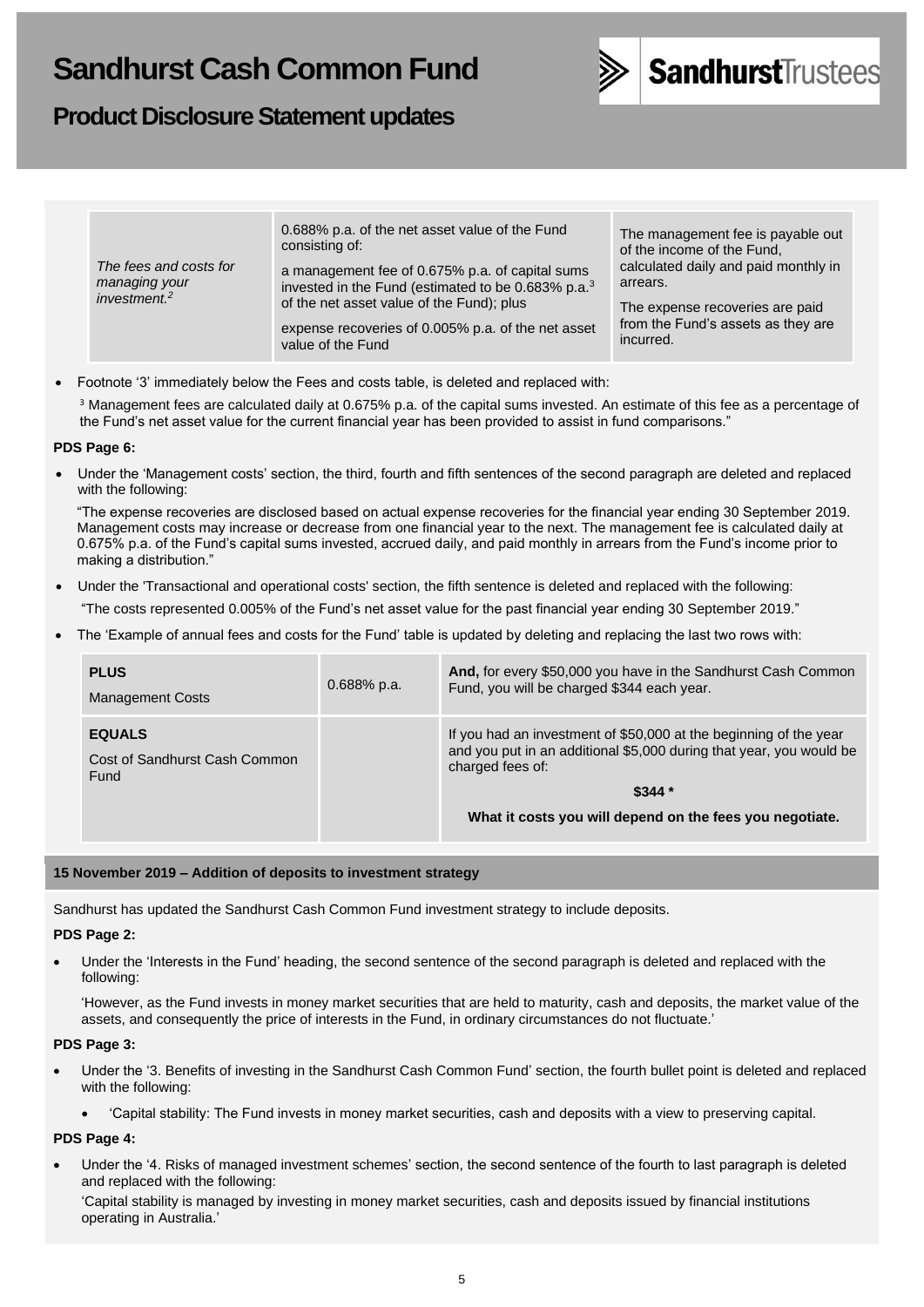# **Product Disclosure Statement updates**



| The fees and costs for<br>managing your<br>investment. $2$ | 0.688% p.a. of the net asset value of the Fund<br>consisting of:<br>a management fee of 0.675% p.a. of capital sums<br>invested in the Fund (estimated to be 0.683% p.a. <sup>3</sup><br>of the net asset value of the Fund); plus<br>expense recoveries of 0.005% p.a. of the net asset<br>value of the Fund | The management fee is payable out<br>of the income of the Fund,<br>calculated daily and paid monthly in<br>arrears.<br>The expense recoveries are paid<br>from the Fund's assets as they are<br>incurred. |
|------------------------------------------------------------|---------------------------------------------------------------------------------------------------------------------------------------------------------------------------------------------------------------------------------------------------------------------------------------------------------------|-----------------------------------------------------------------------------------------------------------------------------------------------------------------------------------------------------------|
|------------------------------------------------------------|---------------------------------------------------------------------------------------------------------------------------------------------------------------------------------------------------------------------------------------------------------------------------------------------------------------|-----------------------------------------------------------------------------------------------------------------------------------------------------------------------------------------------------------|

• Footnote '3' immediately below the Fees and costs table, is deleted and replaced with:

<sup>3</sup> Management fees are calculated daily at 0.675% p.a. of the capital sums invested. An estimate of this fee as a percentage of the Fund's net asset value for the current financial year has been provided to assist in fund comparisons."

### **PDS Page 6:**

• Under the 'Management costs' section, the third, fourth and fifth sentences of the second paragraph are deleted and replaced with the following:

"The expense recoveries are disclosed based on actual expense recoveries for the financial year ending 30 September 2019. Management costs may increase or decrease from one financial year to the next. The management fee is calculated daily at 0.675% p.a. of the Fund's capital sums invested, accrued daily, and paid monthly in arrears from the Fund's income prior to making a distribution."

- Under the 'Transactional and operational costs' section, the fifth sentence is deleted and replaced with the following: "The costs represented 0.005% of the Fund's net asset value for the past financial year ending 30 September 2019."
- The 'Example of annual fees and costs for the Fund' table is updated by deleting and replacing the last two rows with:

| <b>PLUS</b><br><b>Management Costs</b>                 | $0.688\%$ p.a. | And, for every \$50,000 you have in the Sandhurst Cash Common<br>Fund, you will be charged \$344 each year.                                                  |
|--------------------------------------------------------|----------------|--------------------------------------------------------------------------------------------------------------------------------------------------------------|
| <b>EQUALS</b><br>Cost of Sandhurst Cash Common<br>Fund |                | If you had an investment of \$50,000 at the beginning of the year<br>and you put in an additional \$5,000 during that year, you would be<br>charged fees of: |
|                                                        |                | $$344*$<br>What it costs you will depend on the fees you negotiate.                                                                                          |

### **15 November 2019 – Addition of deposits to investment strategy**

Sandhurst has updated the Sandhurst Cash Common Fund investment strategy to include deposits.

#### **PDS Page 2:**

• Under the 'Interests in the Fund' heading, the second sentence of the second paragraph is deleted and replaced with the following:

'However, as the Fund invests in money market securities that are held to maturity, cash and deposits, the market value of the assets, and consequently the price of interests in the Fund, in ordinary circumstances do not fluctuate.'

#### **PDS Page 3:**

- Under the '3. Benefits of investing in the Sandhurst Cash Common Fund' section, the fourth bullet point is deleted and replaced with the following:
	- 'Capital stability: The Fund invests in money market securities, cash and deposits with a view to preserving capital.

#### **PDS Page 4:**

• Under the '4. Risks of managed investment schemes' section, the second sentence of the fourth to last paragraph is deleted and replaced with the following:

'Capital stability is managed by investing in money market securities, cash and deposits issued by financial institutions operating in Australia.'